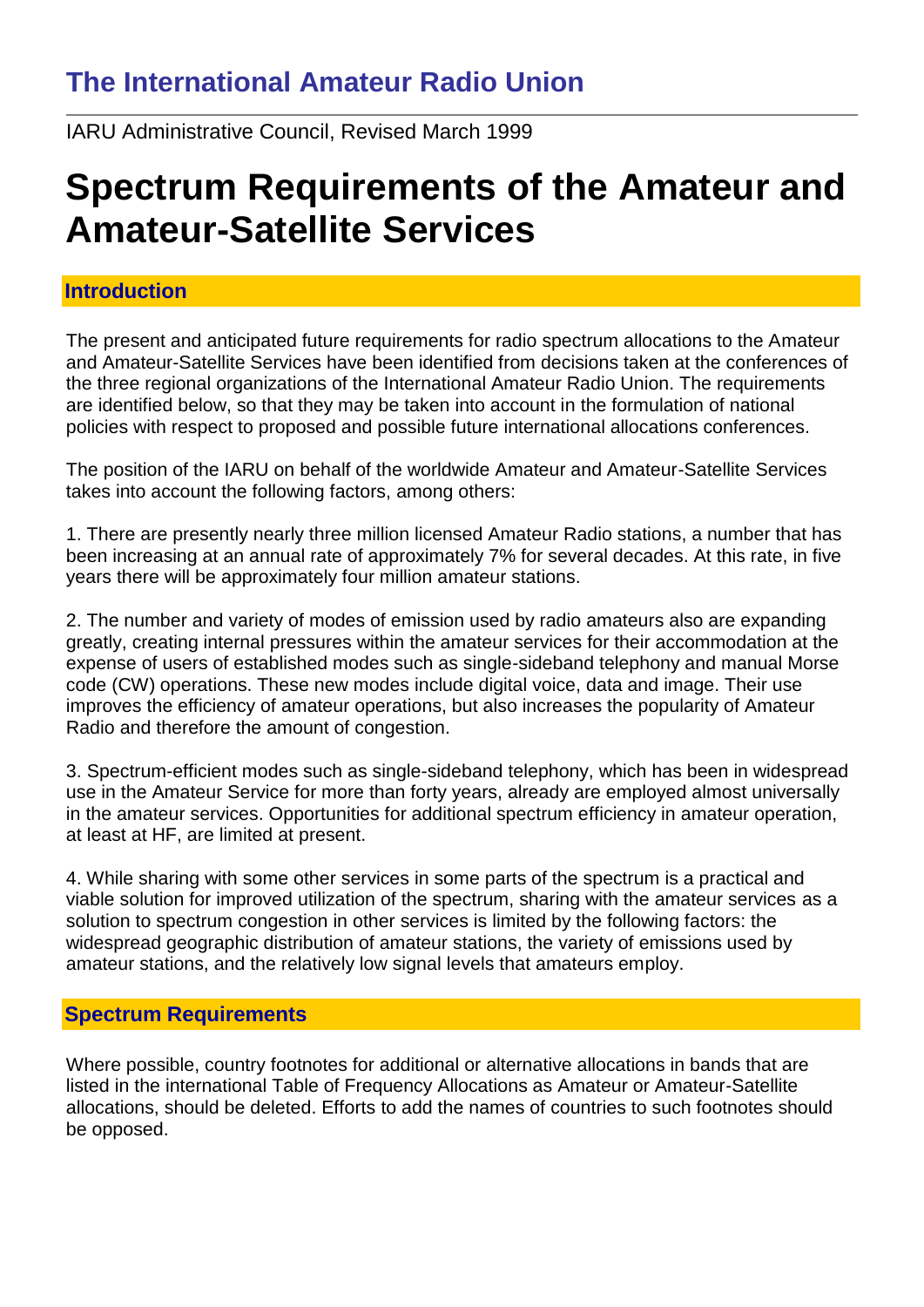## **The International Amateur Radio Union**

IARU Administrative Council, Revised March 1999

# **Spectrum Requirements of the Amateur and Amateur-Satellite Services**

## **Introduction**

The present and anticipated future requirements for radio spectrum allocations to the Amateur and Amateur-Satellite Services have been identified from decisions taken at the conferences of the three regional organizations of the International Amateur Radio Union. The requirements are identified below, so that they may be taken into account in the formulation of national policies with respect to proposed and possible future international allocations conferences.

The position of the IARU on behalf of the worldwide Amateur and Amateur-Satellite Services takes into account the following factors, among others:

1. There are presently nearly three million licensed Amateur Radio stations, a number that has been increasing at an annual rate of approximately 7% for several decades. At this rate, in five years there will be approximately four million amateur stations.

2. The number and variety of modes of emission used by radio amateurs also are expanding greatly, creating internal pressures within the amateur services for their accommodation at the expense of users of established modes such as single-sideband telephony and manual Morse code (CW) operations. These new modes include digital voice, data and image. Their use improves the efficiency of amateur operations, but also increases the popularity of Amateur Radio and therefore the amount of congestion.

3. Spectrum-efficient modes such as single-sideband telephony, which has been in widespread use in the Amateur Service for more than forty years, already are employed almost universally in the amateur services. Opportunities for additional spectrum efficiency in amateur operation, at least at HF, are limited at present.

4. While sharing with some other services in some parts of the spectrum is a practical and viable solution for improved utilization of the spectrum, sharing with the amateur services as a solution to spectrum congestion in other services is limited by the following factors: the widespread geographic distribution of amateur stations, the variety of emissions used by amateur stations, and the relatively low signal levels that amateurs employ.

## **Spectrum Requirements**

Where possible, country footnotes for additional or alternative allocations in bands that are listed in the international Table of Frequency Allocations as Amateur or Amateur-Satellite allocations, should be deleted. Efforts to add the names of countries to such footnotes should be opposed.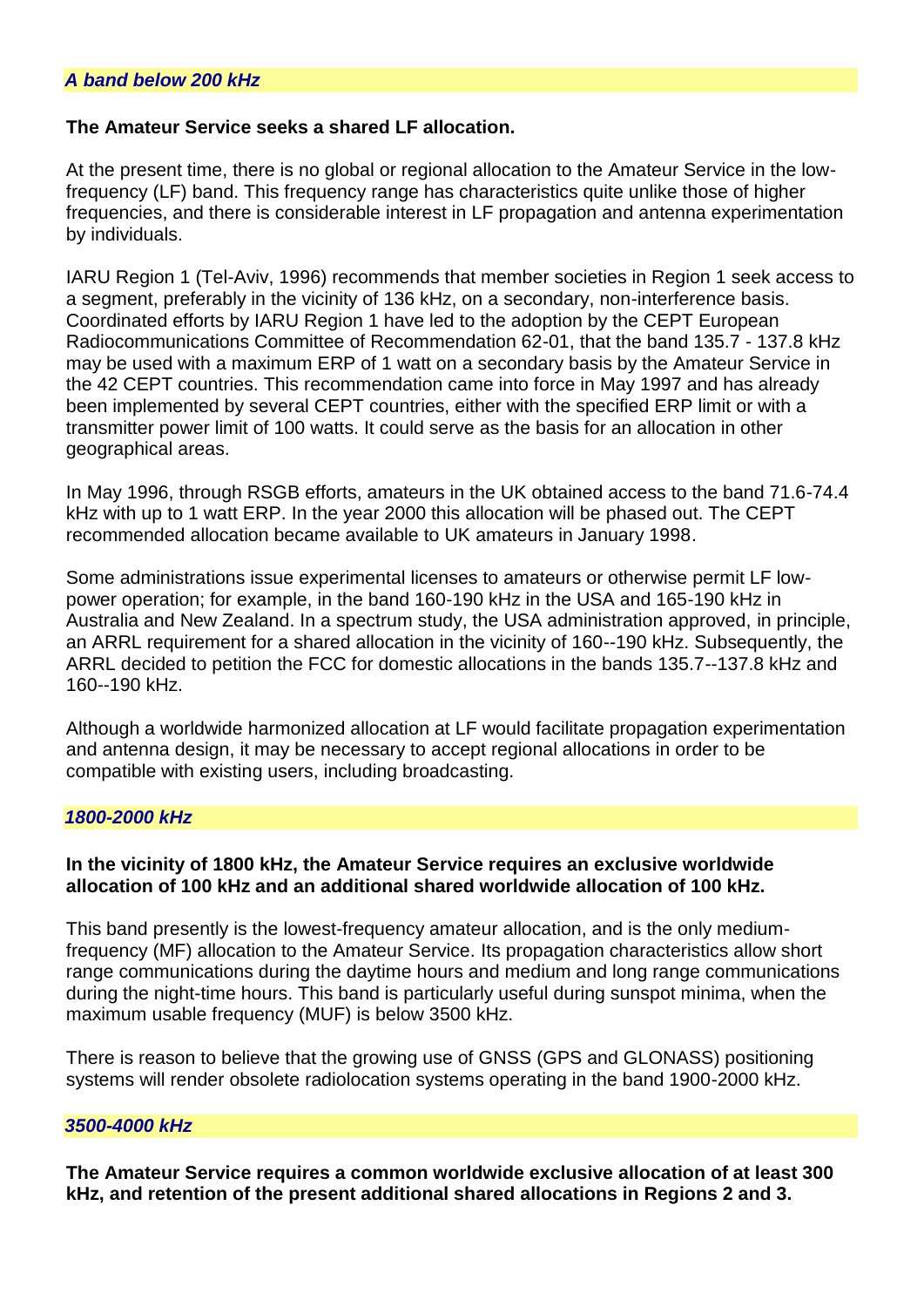#### **The Amateur Service seeks a shared LF allocation.**

At the present time, there is no global or regional allocation to the Amateur Service in the lowfrequency (LF) band. This frequency range has characteristics quite unlike those of higher frequencies, and there is considerable interest in LF propagation and antenna experimentation by individuals.

IARU Region 1 (Tel-Aviv, 1996) recommends that member societies in Region 1 seek access to a segment, preferably in the vicinity of 136 kHz, on a secondary, non-interference basis. Coordinated efforts by IARU Region 1 have led to the adoption by the CEPT European Radiocommunications Committee of Recommendation 62-01, that the band 135.7 - 137.8 kHz may be used with a maximum ERP of 1 watt on a secondary basis by the Amateur Service in the 42 CEPT countries. This recommendation came into force in May 1997 and has already been implemented by several CEPT countries, either with the specified ERP limit or with a transmitter power limit of 100 watts. It could serve as the basis for an allocation in other geographical areas.

In May 1996, through RSGB efforts, amateurs in the UK obtained access to the band 71.6-74.4 kHz with up to 1 watt ERP. In the year 2000 this allocation will be phased out. The CEPT recommended allocation became available to UK amateurs in January 1998.

Some administrations issue experimental licenses to amateurs or otherwise permit LF lowpower operation; for example, in the band 160-190 kHz in the USA and 165-190 kHz in Australia and New Zealand. In a spectrum study, the USA administration approved, in principle, an ARRL requirement for a shared allocation in the vicinity of 160--190 kHz. Subsequently, the ARRL decided to petition the FCC for domestic allocations in the bands 135.7--137.8 kHz and 160--190 kHz.

Although a worldwide harmonized allocation at LF would facilitate propagation experimentation and antenna design, it may be necessary to accept regional allocations in order to be compatible with existing users, including broadcasting.

#### *1800-2000 kHz*

#### **In the vicinity of 1800 kHz, the Amateur Service requires an exclusive worldwide allocation of 100 kHz and an additional shared worldwide allocation of 100 kHz.**

This band presently is the lowest-frequency amateur allocation, and is the only mediumfrequency (MF) allocation to the Amateur Service. Its propagation characteristics allow short range communications during the daytime hours and medium and long range communications during the night-time hours. This band is particularly useful during sunspot minima, when the maximum usable frequency (MUF) is below 3500 kHz.

There is reason to believe that the growing use of GNSS (GPS and GLONASS) positioning systems will render obsolete radiolocation systems operating in the band 1900-2000 kHz.

#### *3500-4000 kHz*

**The Amateur Service requires a common worldwide exclusive allocation of at least 300 kHz, and retention of the present additional shared allocations in Regions 2 and 3.**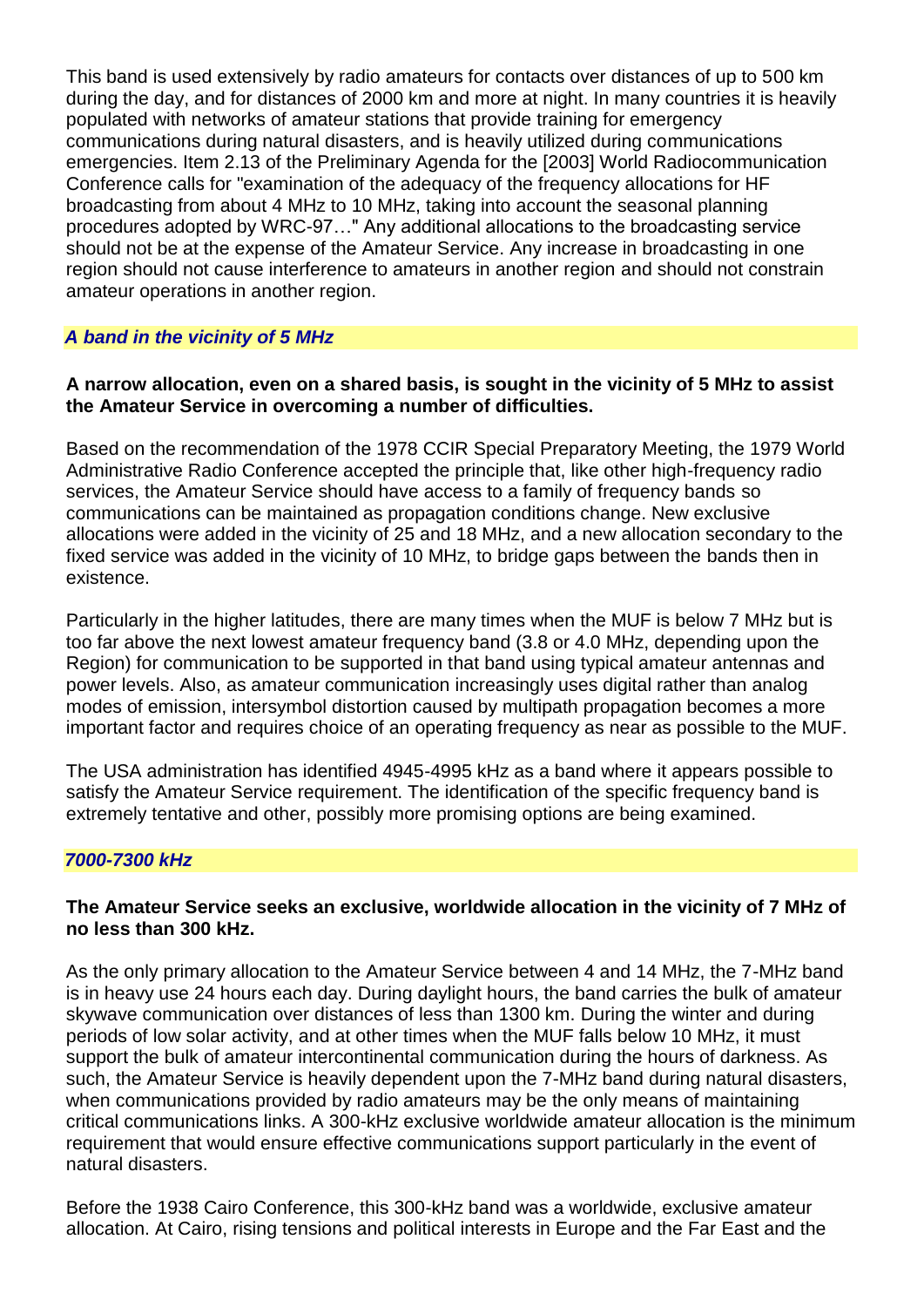This band is used extensively by radio amateurs for contacts over distances of up to 500 km during the day, and for distances of 2000 km and more at night. In many countries it is heavily populated with networks of amateur stations that provide training for emergency communications during natural disasters, and is heavily utilized during communications emergencies. Item 2.13 of the Preliminary Agenda for the [2003] World Radiocommunication Conference calls for "examination of the adequacy of the frequency allocations for HF broadcasting from about 4 MHz to 10 MHz, taking into account the seasonal planning procedures adopted by WRC-97…" Any additional allocations to the broadcasting service should not be at the expense of the Amateur Service. Any increase in broadcasting in one region should not cause interference to amateurs in another region and should not constrain amateur operations in another region.

#### *A band in the vicinity of 5 MHz*

#### **A narrow allocation, even on a shared basis, is sought in the vicinity of 5 MHz to assist the Amateur Service in overcoming a number of difficulties.**

Based on the recommendation of the 1978 CCIR Special Preparatory Meeting, the 1979 World Administrative Radio Conference accepted the principle that, like other high-frequency radio services, the Amateur Service should have access to a family of frequency bands so communications can be maintained as propagation conditions change. New exclusive allocations were added in the vicinity of 25 and 18 MHz, and a new allocation secondary to the fixed service was added in the vicinity of 10 MHz, to bridge gaps between the bands then in existence.

Particularly in the higher latitudes, there are many times when the MUF is below 7 MHz but is too far above the next lowest amateur frequency band (3.8 or 4.0 MHz, depending upon the Region) for communication to be supported in that band using typical amateur antennas and power levels. Also, as amateur communication increasingly uses digital rather than analog modes of emission, intersymbol distortion caused by multipath propagation becomes a more important factor and requires choice of an operating frequency as near as possible to the MUF.

The USA administration has identified 4945-4995 kHz as a band where it appears possible to satisfy the Amateur Service requirement. The identification of the specific frequency band is extremely tentative and other, possibly more promising options are being examined.

#### *7000-7300 kHz*

#### **The Amateur Service seeks an exclusive, worldwide allocation in the vicinity of 7 MHz of no less than 300 kHz.**

As the only primary allocation to the Amateur Service between 4 and 14 MHz, the 7-MHz band is in heavy use 24 hours each day. During daylight hours, the band carries the bulk of amateur skywave communication over distances of less than 1300 km. During the winter and during periods of low solar activity, and at other times when the MUF falls below 10 MHz, it must support the bulk of amateur intercontinental communication during the hours of darkness. As such, the Amateur Service is heavily dependent upon the 7-MHz band during natural disasters, when communications provided by radio amateurs may be the only means of maintaining critical communications links. A 300-kHz exclusive worldwide amateur allocation is the minimum requirement that would ensure effective communications support particularly in the event of natural disasters.

Before the 1938 Cairo Conference, this 300-kHz band was a worldwide, exclusive amateur allocation. At Cairo, rising tensions and political interests in Europe and the Far East and the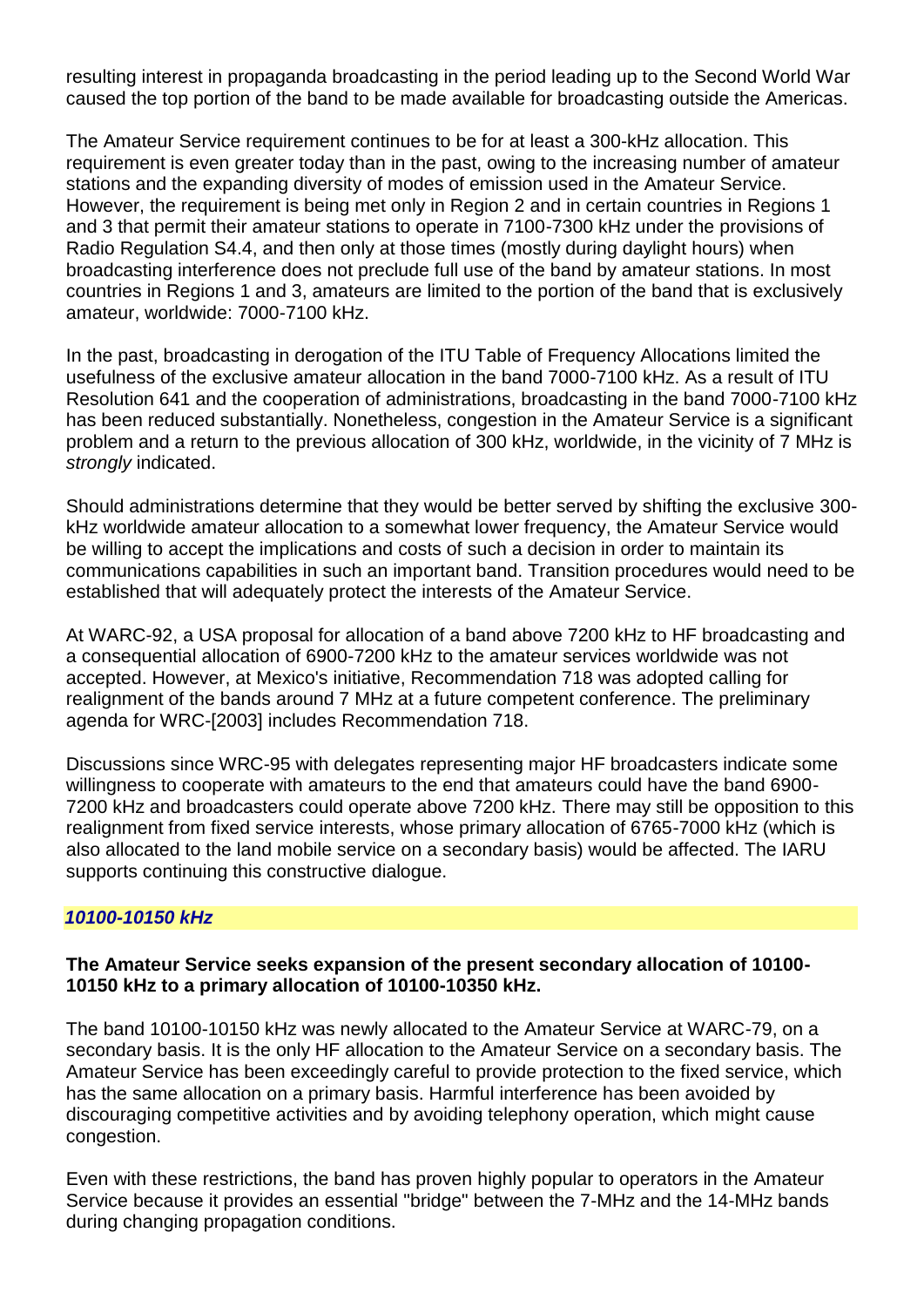resulting interest in propaganda broadcasting in the period leading up to the Second World War caused the top portion of the band to be made available for broadcasting outside the Americas.

The Amateur Service requirement continues to be for at least a 300-kHz allocation. This requirement is even greater today than in the past, owing to the increasing number of amateur stations and the expanding diversity of modes of emission used in the Amateur Service. However, the requirement is being met only in Region 2 and in certain countries in Regions 1 and 3 that permit their amateur stations to operate in 7100-7300 kHz under the provisions of Radio Regulation S4.4, and then only at those times (mostly during daylight hours) when broadcasting interference does not preclude full use of the band by amateur stations. In most countries in Regions 1 and 3, amateurs are limited to the portion of the band that is exclusively amateur, worldwide: 7000-7100 kHz.

In the past, broadcasting in derogation of the ITU Table of Frequency Allocations limited the usefulness of the exclusive amateur allocation in the band 7000-7100 kHz. As a result of ITU Resolution 641 and the cooperation of administrations, broadcasting in the band 7000-7100 kHz has been reduced substantially. Nonetheless, congestion in the Amateur Service is a significant problem and a return to the previous allocation of 300 kHz, worldwide, in the vicinity of 7 MHz is *strongly* indicated.

Should administrations determine that they would be better served by shifting the exclusive 300 kHz worldwide amateur allocation to a somewhat lower frequency, the Amateur Service would be willing to accept the implications and costs of such a decision in order to maintain its communications capabilities in such an important band. Transition procedures would need to be established that will adequately protect the interests of the Amateur Service.

At WARC-92, a USA proposal for allocation of a band above 7200 kHz to HF broadcasting and a consequential allocation of 6900-7200 kHz to the amateur services worldwide was not accepted. However, at Mexico's initiative, Recommendation 718 was adopted calling for realignment of the bands around 7 MHz at a future competent conference. The preliminary agenda for WRC-[2003] includes Recommendation 718.

Discussions since WRC-95 with delegates representing major HF broadcasters indicate some willingness to cooperate with amateurs to the end that amateurs could have the band 6900- 7200 kHz and broadcasters could operate above 7200 kHz. There may still be opposition to this realignment from fixed service interests, whose primary allocation of 6765-7000 kHz (which is also allocated to the land mobile service on a secondary basis) would be affected. The IARU supports continuing this constructive dialogue.

#### *10100-10150 kHz*

#### **The Amateur Service seeks expansion of the present secondary allocation of 10100- 10150 kHz to a primary allocation of 10100-10350 kHz.**

The band 10100-10150 kHz was newly allocated to the Amateur Service at WARC-79, on a secondary basis. It is the only HF allocation to the Amateur Service on a secondary basis. The Amateur Service has been exceedingly careful to provide protection to the fixed service, which has the same allocation on a primary basis. Harmful interference has been avoided by discouraging competitive activities and by avoiding telephony operation, which might cause congestion.

Even with these restrictions, the band has proven highly popular to operators in the Amateur Service because it provides an essential "bridge" between the 7-MHz and the 14-MHz bands during changing propagation conditions.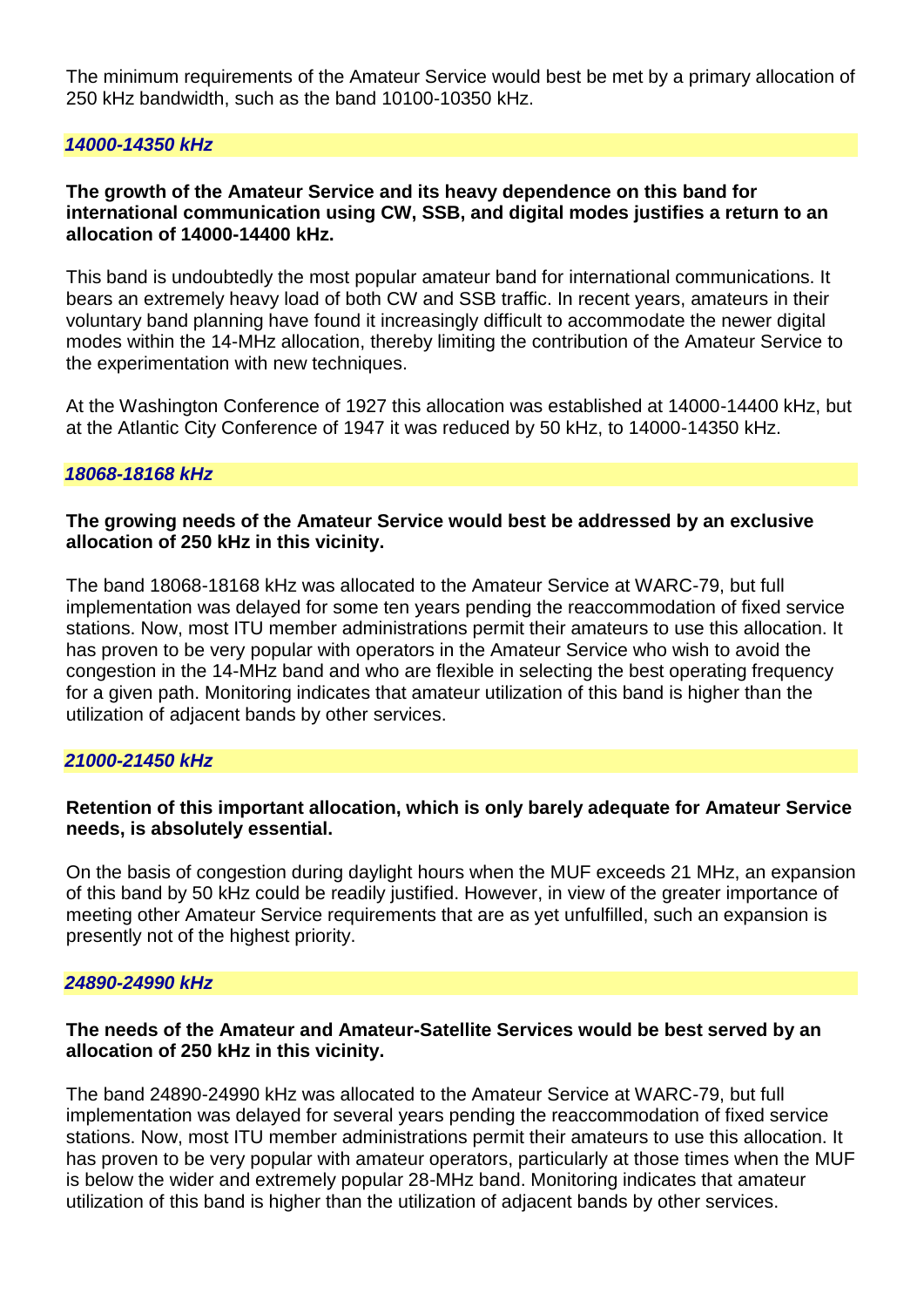The minimum requirements of the Amateur Service would best be met by a primary allocation of 250 kHz bandwidth, such as the band 10100-10350 kHz.

#### *14000-14350 kHz*

#### **The growth of the Amateur Service and its heavy dependence on this band for international communication using CW, SSB, and digital modes justifies a return to an allocation of 14000-14400 kHz.**

This band is undoubtedly the most popular amateur band for international communications. It bears an extremely heavy load of both CW and SSB traffic. In recent years, amateurs in their voluntary band planning have found it increasingly difficult to accommodate the newer digital modes within the 14-MHz allocation, thereby limiting the contribution of the Amateur Service to the experimentation with new techniques.

At the Washington Conference of 1927 this allocation was established at 14000-14400 kHz, but at the Atlantic City Conference of 1947 it was reduced by 50 kHz, to 14000-14350 kHz.

#### *18068-18168 kHz*

#### **The growing needs of the Amateur Service would best be addressed by an exclusive allocation of 250 kHz in this vicinity.**

The band 18068-18168 kHz was allocated to the Amateur Service at WARC-79, but full implementation was delayed for some ten years pending the reaccommodation of fixed service stations. Now, most ITU member administrations permit their amateurs to use this allocation. It has proven to be very popular with operators in the Amateur Service who wish to avoid the congestion in the 14-MHz band and who are flexible in selecting the best operating frequency for a given path. Monitoring indicates that amateur utilization of this band is higher than the utilization of adjacent bands by other services.

#### *21000-21450 kHz*

#### **Retention of this important allocation, which is only barely adequate for Amateur Service needs, is absolutely essential.**

On the basis of congestion during daylight hours when the MUF exceeds 21 MHz, an expansion of this band by 50 kHz could be readily justified. However, in view of the greater importance of meeting other Amateur Service requirements that are as yet unfulfilled, such an expansion is presently not of the highest priority.

#### *24890-24990 kHz*

#### **The needs of the Amateur and Amateur-Satellite Services would be best served by an allocation of 250 kHz in this vicinity.**

The band 24890-24990 kHz was allocated to the Amateur Service at WARC-79, but full implementation was delayed for several years pending the reaccommodation of fixed service stations. Now, most ITU member administrations permit their amateurs to use this allocation. It has proven to be very popular with amateur operators, particularly at those times when the MUF is below the wider and extremely popular 28-MHz band. Monitoring indicates that amateur utilization of this band is higher than the utilization of adjacent bands by other services.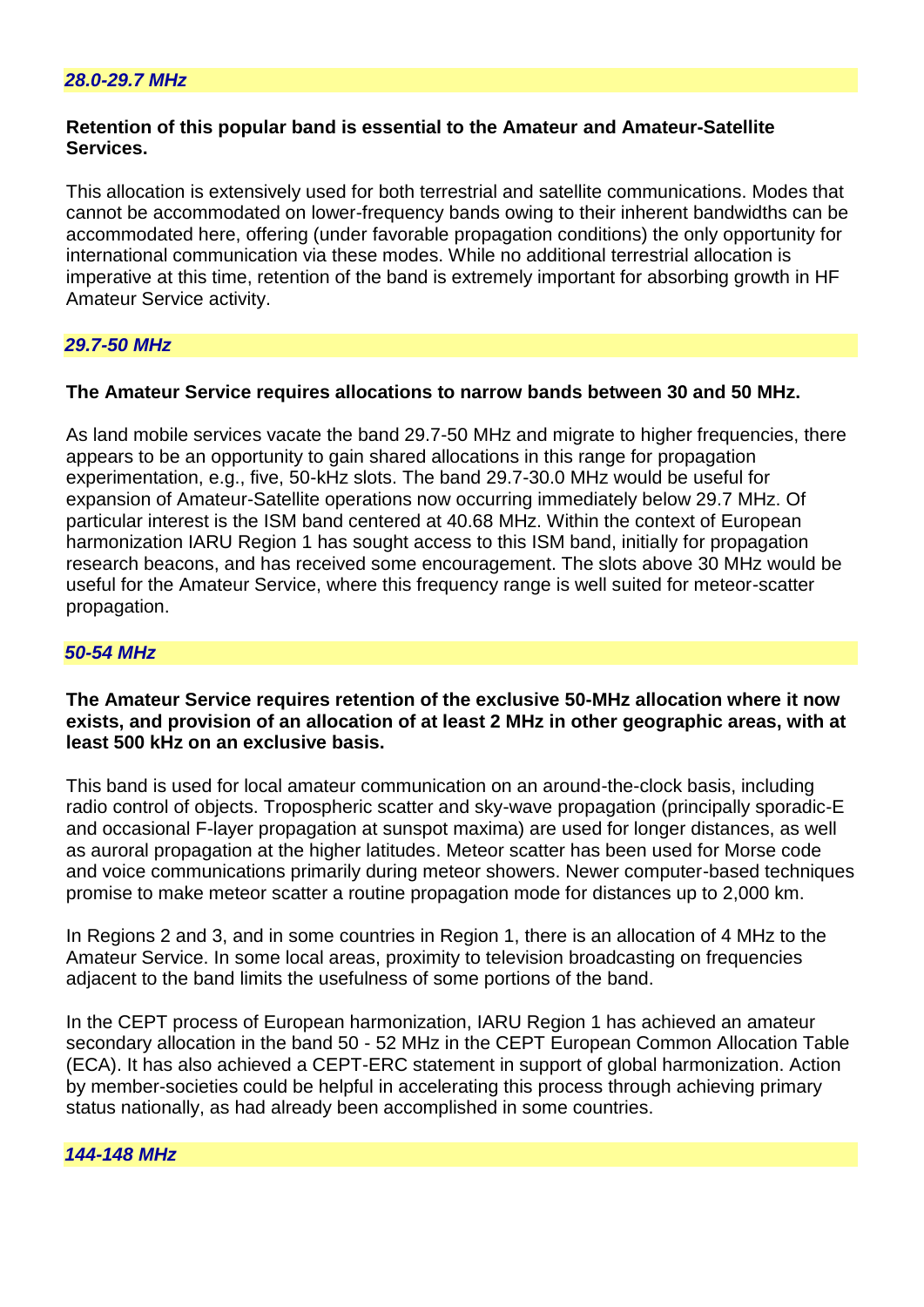#### **Retention of this popular band is essential to the Amateur and Amateur-Satellite Services.**

This allocation is extensively used for both terrestrial and satellite communications. Modes that cannot be accommodated on lower-frequency bands owing to their inherent bandwidths can be accommodated here, offering (under favorable propagation conditions) the only opportunity for international communication via these modes. While no additional terrestrial allocation is imperative at this time, retention of the band is extremely important for absorbing growth in HF Amateur Service activity.

## *29.7-50 MHz*

#### **The Amateur Service requires allocations to narrow bands between 30 and 50 MHz.**

As land mobile services vacate the band 29.7-50 MHz and migrate to higher frequencies, there appears to be an opportunity to gain shared allocations in this range for propagation experimentation, e.g., five, 50-kHz slots. The band 29.7-30.0 MHz would be useful for expansion of Amateur-Satellite operations now occurring immediately below 29.7 MHz. Of particular interest is the ISM band centered at 40.68 MHz. Within the context of European harmonization IARU Region 1 has sought access to this ISM band, initially for propagation research beacons, and has received some encouragement. The slots above 30 MHz would be useful for the Amateur Service, where this frequency range is well suited for meteor-scatter propagation.

#### *50-54 MHz*

#### **The Amateur Service requires retention of the exclusive 50-MHz allocation where it now exists, and provision of an allocation of at least 2 MHz in other geographic areas, with at least 500 kHz on an exclusive basis.**

This band is used for local amateur communication on an around-the-clock basis, including radio control of objects. Tropospheric scatter and sky-wave propagation (principally sporadic-E and occasional F-layer propagation at sunspot maxima) are used for longer distances, as well as auroral propagation at the higher latitudes. Meteor scatter has been used for Morse code and voice communications primarily during meteor showers. Newer computer-based techniques promise to make meteor scatter a routine propagation mode for distances up to 2,000 km.

In Regions 2 and 3, and in some countries in Region 1, there is an allocation of 4 MHz to the Amateur Service. In some local areas, proximity to television broadcasting on frequencies adjacent to the band limits the usefulness of some portions of the band.

In the CEPT process of European harmonization, IARU Region 1 has achieved an amateur secondary allocation in the band 50 - 52 MHz in the CEPT European Common Allocation Table (ECA). It has also achieved a CEPT-ERC statement in support of global harmonization. Action by member-societies could be helpful in accelerating this process through achieving primary status nationally, as had already been accomplished in some countries.

#### *144-148 MHz*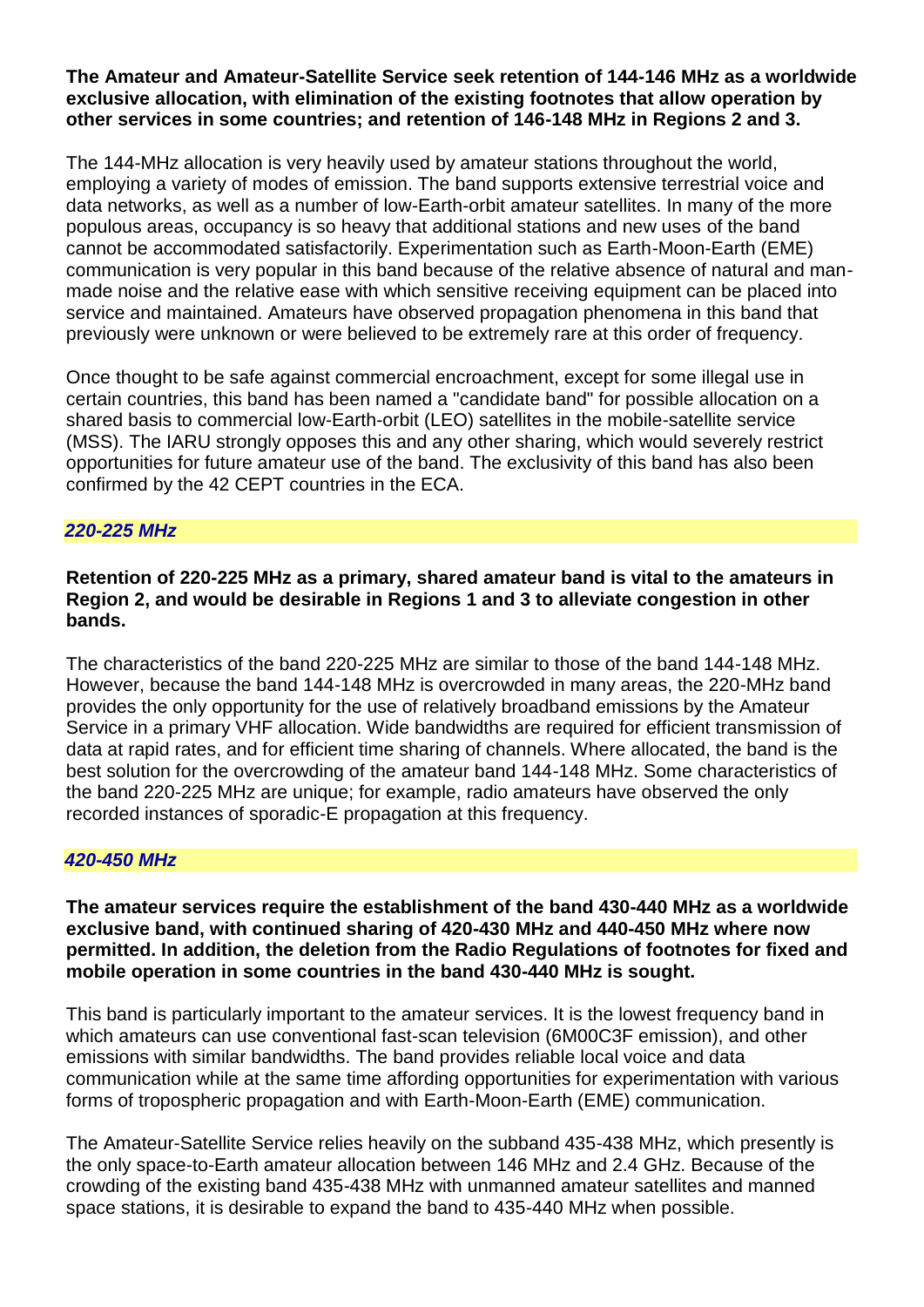#### **The Amateur and Amateur-Satellite Service seek retention of 144-146 MHz as a worldwide exclusive allocation, with elimination of the existing footnotes that allow operation by other services in some countries; and retention of 146-148 MHz in Regions 2 and 3.**

The 144-MHz allocation is very heavily used by amateur stations throughout the world, employing a variety of modes of emission. The band supports extensive terrestrial voice and data networks, as well as a number of low-Earth-orbit amateur satellites. In many of the more populous areas, occupancy is so heavy that additional stations and new uses of the band cannot be accommodated satisfactorily. Experimentation such as Earth-Moon-Earth (EME) communication is very popular in this band because of the relative absence of natural and manmade noise and the relative ease with which sensitive receiving equipment can be placed into service and maintained. Amateurs have observed propagation phenomena in this band that previously were unknown or were believed to be extremely rare at this order of frequency.

Once thought to be safe against commercial encroachment, except for some illegal use in certain countries, this band has been named a "candidate band" for possible allocation on a shared basis to commercial low-Earth-orbit (LEO) satellites in the mobile-satellite service (MSS). The IARU strongly opposes this and any other sharing, which would severely restrict opportunities for future amateur use of the band. The exclusivity of this band has also been confirmed by the 42 CEPT countries in the ECA.

#### *220-225 MHz*

**Retention of 220-225 MHz as a primary, shared amateur band is vital to the amateurs in Region 2, and would be desirable in Regions 1 and 3 to alleviate congestion in other bands.** 

The characteristics of the band 220-225 MHz are similar to those of the band 144-148 MHz. However, because the band 144-148 MHz is overcrowded in many areas, the 220-MHz band provides the only opportunity for the use of relatively broadband emissions by the Amateur Service in a primary VHF allocation. Wide bandwidths are required for efficient transmission of data at rapid rates, and for efficient time sharing of channels. Where allocated, the band is the best solution for the overcrowding of the amateur band 144-148 MHz. Some characteristics of the band 220-225 MHz are unique; for example, radio amateurs have observed the only recorded instances of sporadic-E propagation at this frequency.

#### *420-450 MHz*

**The amateur services require the establishment of the band 430-440 MHz as a worldwide exclusive band, with continued sharing of 420-430 MHz and 440-450 MHz where now permitted. In addition, the deletion from the Radio Regulations of footnotes for fixed and mobile operation in some countries in the band 430-440 MHz is sought.** 

This band is particularly important to the amateur services. It is the lowest frequency band in which amateurs can use conventional fast-scan television (6M00C3F emission), and other emissions with similar bandwidths. The band provides reliable local voice and data communication while at the same time affording opportunities for experimentation with various forms of tropospheric propagation and with Earth-Moon-Earth (EME) communication.

The Amateur-Satellite Service relies heavily on the subband 435-438 MHz, which presently is the only space-to-Earth amateur allocation between 146 MHz and 2.4 GHz. Because of the crowding of the existing band 435-438 MHz with unmanned amateur satellites and manned space stations, it is desirable to expand the band to 435-440 MHz when possible.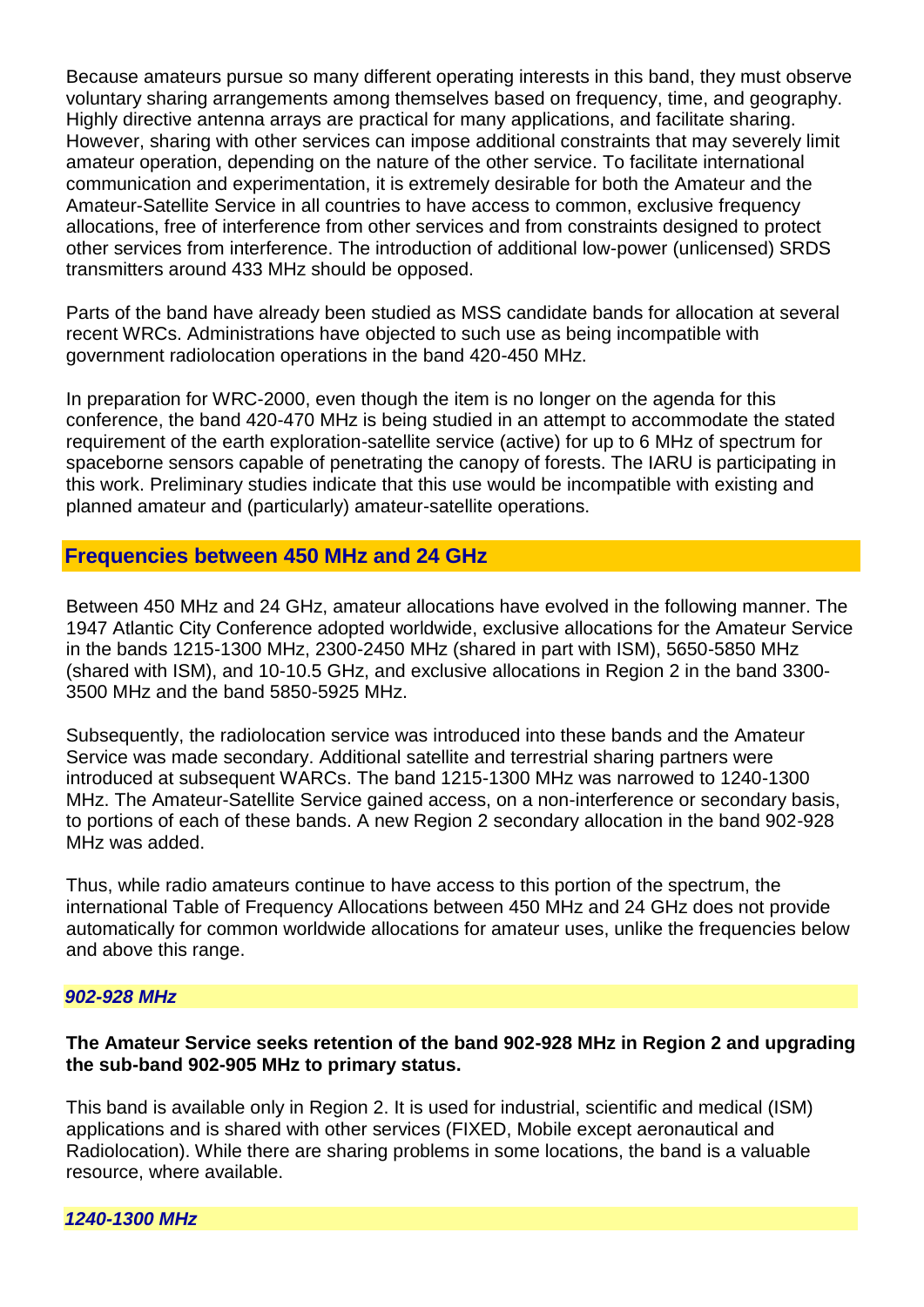Because amateurs pursue so many different operating interests in this band, they must observe voluntary sharing arrangements among themselves based on frequency, time, and geography. Highly directive antenna arrays are practical for many applications, and facilitate sharing. However, sharing with other services can impose additional constraints that may severely limit amateur operation, depending on the nature of the other service. To facilitate international communication and experimentation, it is extremely desirable for both the Amateur and the Amateur-Satellite Service in all countries to have access to common, exclusive frequency allocations, free of interference from other services and from constraints designed to protect other services from interference. The introduction of additional low-power (unlicensed) SRDS transmitters around 433 MHz should be opposed.

Parts of the band have already been studied as MSS candidate bands for allocation at several recent WRCs. Administrations have objected to such use as being incompatible with government radiolocation operations in the band 420-450 MHz.

In preparation for WRC-2000, even though the item is no longer on the agenda for this conference, the band 420-470 MHz is being studied in an attempt to accommodate the stated requirement of the earth exploration-satellite service (active) for up to 6 MHz of spectrum for spaceborne sensors capable of penetrating the canopy of forests. The IARU is participating in this work. Preliminary studies indicate that this use would be incompatible with existing and planned amateur and (particularly) amateur-satellite operations.

## **Frequencies between 450 MHz and 24 GHz**

Between 450 MHz and 24 GHz, amateur allocations have evolved in the following manner. The 1947 Atlantic City Conference adopted worldwide, exclusive allocations for the Amateur Service in the bands 1215-1300 MHz, 2300-2450 MHz (shared in part with ISM), 5650-5850 MHz (shared with ISM), and 10-10.5 GHz, and exclusive allocations in Region 2 in the band 3300- 3500 MHz and the band 5850-5925 MHz.

Subsequently, the radiolocation service was introduced into these bands and the Amateur Service was made secondary. Additional satellite and terrestrial sharing partners were introduced at subsequent WARCs. The band 1215-1300 MHz was narrowed to 1240-1300 MHz. The Amateur-Satellite Service gained access, on a non-interference or secondary basis, to portions of each of these bands. A new Region 2 secondary allocation in the band 902-928 MHz was added.

Thus, while radio amateurs continue to have access to this portion of the spectrum, the international Table of Frequency Allocations between 450 MHz and 24 GHz does not provide automatically for common worldwide allocations for amateur uses, unlike the frequencies below and above this range.

#### *902-928 MHz*

#### **The Amateur Service seeks retention of the band 902-928 MHz in Region 2 and upgrading the sub-band 902-905 MHz to primary status.**

This band is available only in Region 2. It is used for industrial, scientific and medical (ISM) applications and is shared with other services (FIXED, Mobile except aeronautical and Radiolocation). While there are sharing problems in some locations, the band is a valuable resource, where available.

*1240-1300 MHz*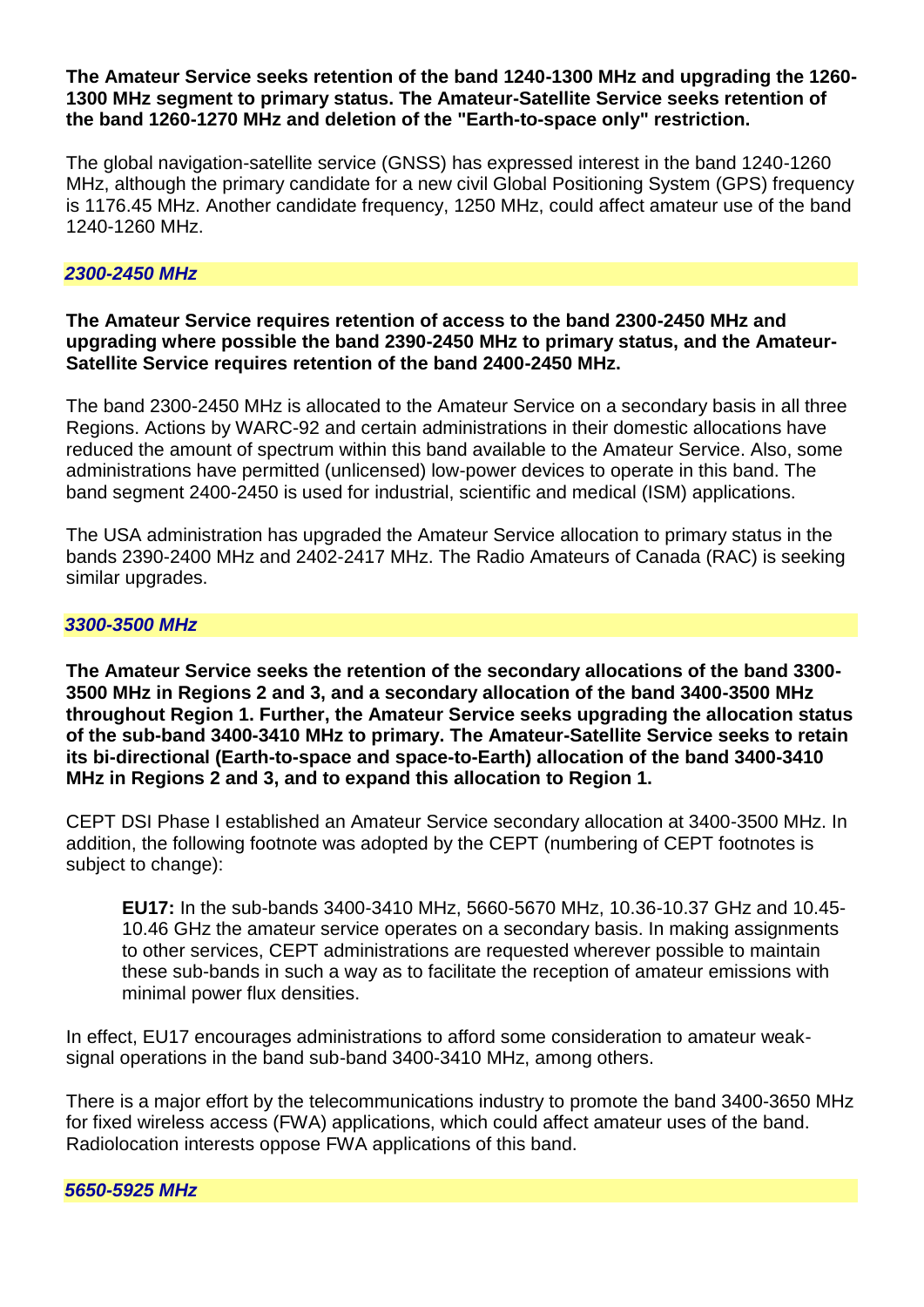#### **The Amateur Service seeks retention of the band 1240-1300 MHz and upgrading the 1260- 1300 MHz segment to primary status. The Amateur-Satellite Service seeks retention of the band 1260-1270 MHz and deletion of the "Earth-to-space only" restriction.**

The global navigation-satellite service (GNSS) has expressed interest in the band 1240-1260 MHz, although the primary candidate for a new civil Global Positioning System (GPS) frequency is 1176.45 MHz. Another candidate frequency, 1250 MHz, could affect amateur use of the band 1240-1260 MHz.

#### *2300-2450 MHz*

#### **The Amateur Service requires retention of access to the band 2300-2450 MHz and upgrading where possible the band 2390-2450 MHz to primary status, and the Amateur-Satellite Service requires retention of the band 2400-2450 MHz.**

The band 2300-2450 MHz is allocated to the Amateur Service on a secondary basis in all three Regions. Actions by WARC-92 and certain administrations in their domestic allocations have reduced the amount of spectrum within this band available to the Amateur Service. Also, some administrations have permitted (unlicensed) low-power devices to operate in this band. The band segment 2400-2450 is used for industrial, scientific and medical (ISM) applications.

The USA administration has upgraded the Amateur Service allocation to primary status in the bands 2390-2400 MHz and 2402-2417 MHz. The Radio Amateurs of Canada (RAC) is seeking similar upgrades.

#### *3300-3500 MHz*

**The Amateur Service seeks the retention of the secondary allocations of the band 3300- 3500 MHz in Regions 2 and 3, and a secondary allocation of the band 3400-3500 MHz throughout Region 1. Further, the Amateur Service seeks upgrading the allocation status of the sub-band 3400-3410 MHz to primary. The Amateur-Satellite Service seeks to retain its bi-directional (Earth-to-space and space-to-Earth) allocation of the band 3400-3410 MHz in Regions 2 and 3, and to expand this allocation to Region 1.** 

CEPT DSI Phase I established an Amateur Service secondary allocation at 3400-3500 MHz. In addition, the following footnote was adopted by the CEPT (numbering of CEPT footnotes is subject to change):

**EU17:** In the sub-bands 3400-3410 MHz, 5660-5670 MHz, 10.36-10.37 GHz and 10.45- 10.46 GHz the amateur service operates on a secondary basis. In making assignments to other services, CEPT administrations are requested wherever possible to maintain these sub-bands in such a way as to facilitate the reception of amateur emissions with minimal power flux densities.

In effect, EU17 encourages administrations to afford some consideration to amateur weaksignal operations in the band sub-band 3400-3410 MHz, among others.

There is a major effort by the telecommunications industry to promote the band 3400-3650 MHz for fixed wireless access (FWA) applications, which could affect amateur uses of the band. Radiolocation interests oppose FWA applications of this band.

#### *5650-5925 MHz*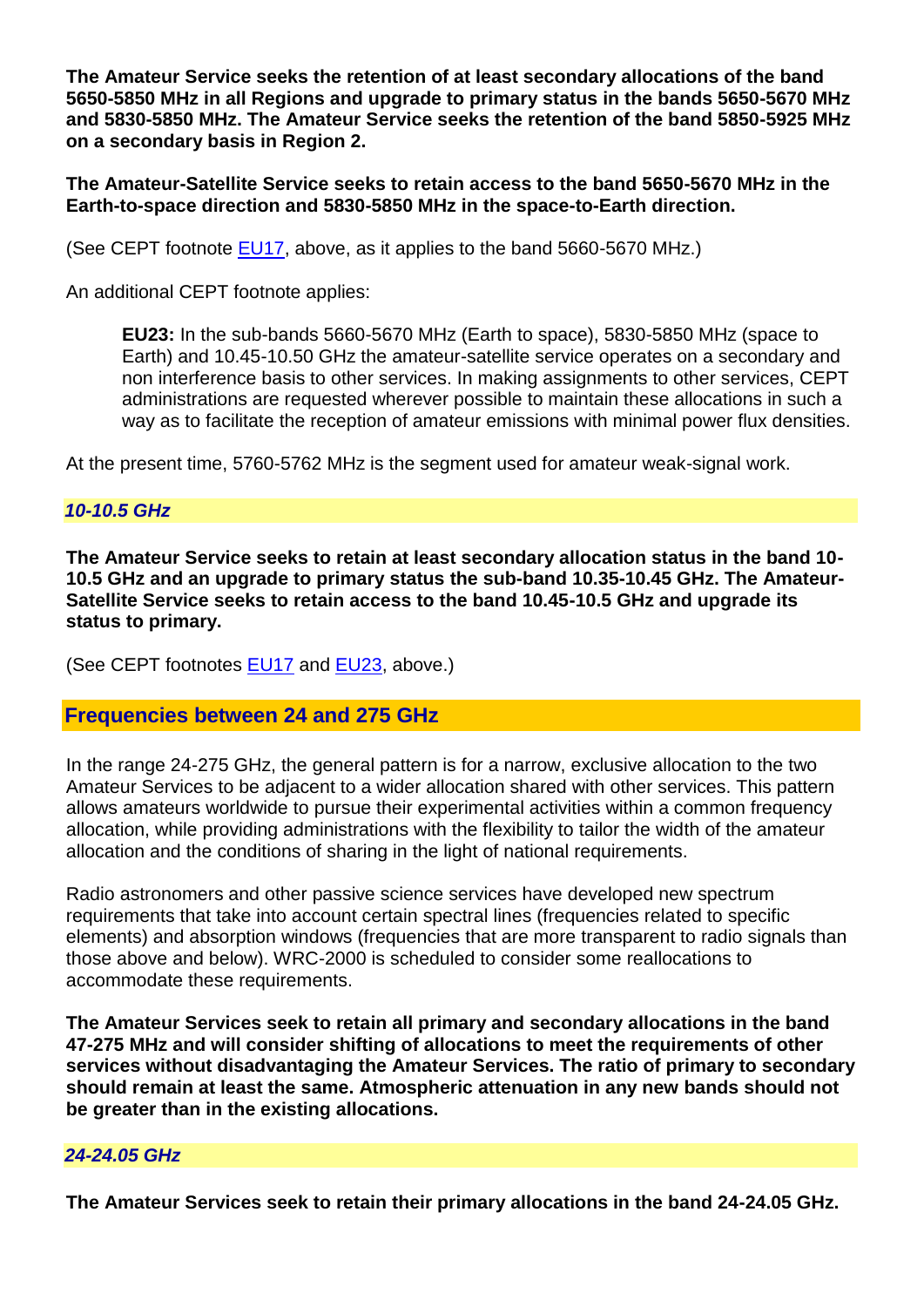**The Amateur Service seeks the retention of at least secondary allocations of the band 5650-5850 MHz in all Regions and upgrade to primary status in the bands 5650-5670 MHz and 5830-5850 MHz. The Amateur Service seeks the retention of the band 5850-5925 MHz on a secondary basis in Region 2.** 

**The Amateur-Satellite Service seeks to retain access to the band 5650-5670 MHz in the Earth-to-space direction and 5830-5850 MHz in the space-to-Earth direction.** 

(See CEPT footnote [EU17,](http://www.iaru.org/ac-spec.html#eu17) above, as it applies to the band 5660-5670 MHz.)

An additional CEPT footnote applies:

**EU23:** In the sub-bands 5660-5670 MHz (Earth to space), 5830-5850 MHz (space to Earth) and 10.45-10.50 GHz the amateur-satellite service operates on a secondary and non interference basis to other services. In making assignments to other services, CEPT administrations are requested wherever possible to maintain these allocations in such a way as to facilitate the reception of amateur emissions with minimal power flux densities.

At the present time, 5760-5762 MHz is the segment used for amateur weak-signal work.

#### *10-10.5 GHz*

**The Amateur Service seeks to retain at least secondary allocation status in the band 10- 10.5 GHz and an upgrade to primary status the sub-band 10.35-10.45 GHz. The Amateur-Satellite Service seeks to retain access to the band 10.45-10.5 GHz and upgrade its status to primary.** 

(See CEPT footnotes **EU17** and **EU23**, above.)

#### **Frequencies between 24 and 275 GHz**

In the range 24-275 GHz, the general pattern is for a narrow, exclusive allocation to the two Amateur Services to be adjacent to a wider allocation shared with other services. This pattern allows amateurs worldwide to pursue their experimental activities within a common frequency allocation, while providing administrations with the flexibility to tailor the width of the amateur allocation and the conditions of sharing in the light of national requirements.

Radio astronomers and other passive science services have developed new spectrum requirements that take into account certain spectral lines (frequencies related to specific elements) and absorption windows (frequencies that are more transparent to radio signals than those above and below). WRC-2000 is scheduled to consider some reallocations to accommodate these requirements.

**The Amateur Services seek to retain all primary and secondary allocations in the band 47-275 MHz and will consider shifting of allocations to meet the requirements of other services without disadvantaging the Amateur Services. The ratio of primary to secondary should remain at least the same. Atmospheric attenuation in any new bands should not be greater than in the existing allocations.** 

#### *24-24.05 GHz*

**The Amateur Services seek to retain their primary allocations in the band 24-24.05 GHz.**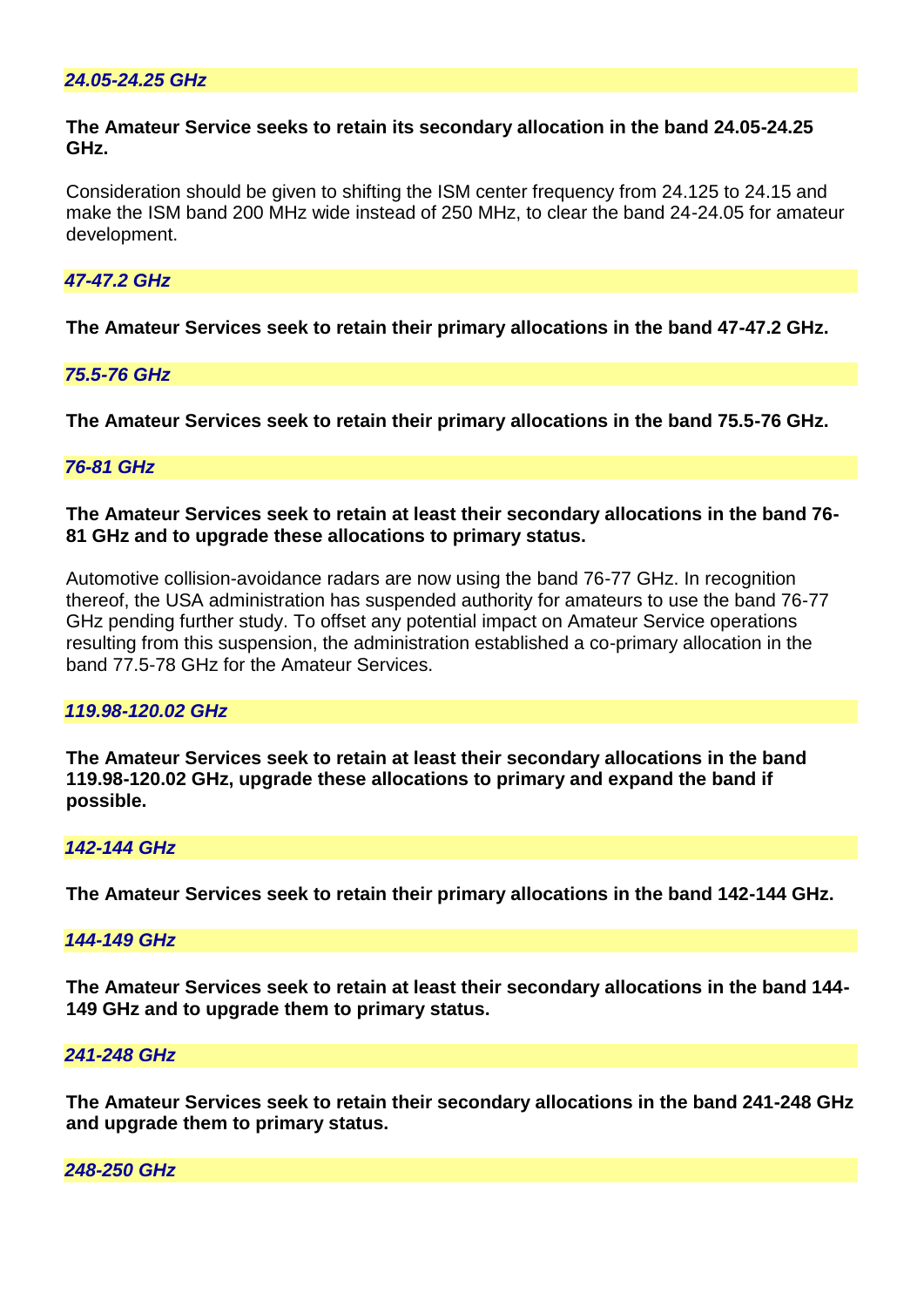#### **The Amateur Service seeks to retain its secondary allocation in the band 24.05-24.25 GHz.**

Consideration should be given to shifting the ISM center frequency from 24.125 to 24.15 and make the ISM band 200 MHz wide instead of 250 MHz, to clear the band 24-24.05 for amateur development.

## *47-47.2 GHz*

**The Amateur Services seek to retain their primary allocations in the band 47-47.2 GHz.** 

#### *75.5-76 GHz*

**The Amateur Services seek to retain their primary allocations in the band 75.5-76 GHz.** 

#### *76-81 GHz*

**The Amateur Services seek to retain at least their secondary allocations in the band 76- 81 GHz and to upgrade these allocations to primary status.** 

Automotive collision-avoidance radars are now using the band 76-77 GHz. In recognition thereof, the USA administration has suspended authority for amateurs to use the band 76-77 GHz pending further study. To offset any potential impact on Amateur Service operations resulting from this suspension, the administration established a co-primary allocation in the band 77.5-78 GHz for the Amateur Services.

#### *119.98-120.02 GHz*

**The Amateur Services seek to retain at least their secondary allocations in the band 119.98-120.02 GHz, upgrade these allocations to primary and expand the band if possible.** 

#### *142-144 GHz*

**The Amateur Services seek to retain their primary allocations in the band 142-144 GHz.** 

#### *144-149 GHz*

**The Amateur Services seek to retain at least their secondary allocations in the band 144- 149 GHz and to upgrade them to primary status.** 

#### *241-248 GHz*

**The Amateur Services seek to retain their secondary allocations in the band 241-248 GHz and upgrade them to primary status.** 

#### *248-250 GHz*